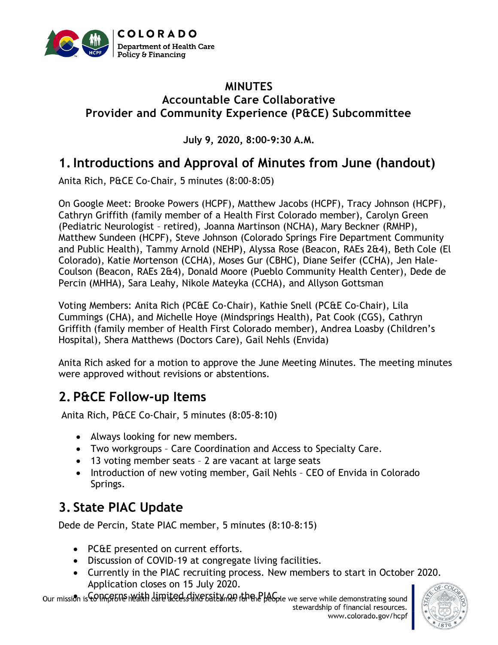

#### **MINUTES Accountable Care Collaborative Provider and Community Experience (P&CE) Subcommittee**

**July 9, 2020, 8:00-9:30 A.M.**

# **1.Introductions and Approval of Minutes from June (handout)**

Anita Rich, P&CE Co-Chair, 5 minutes (8:00-8:05)

On Google Meet: Brooke Powers (HCPF), Matthew Jacobs (HCPF), Tracy Johnson (HCPF), Cathryn Griffith (family member of a Health First Colorado member), Carolyn Green (Pediatric Neurologist – retired), Joanna Martinson (NCHA), Mary Beckner (RMHP), Matthew Sundeen (HCPF), Steve Johnson (Colorado Springs Fire Department Community and Public Health), Tammy Arnold (NEHP), Alyssa Rose (Beacon, RAEs 2&4), Beth Cole (El Colorado), Katie Mortenson (CCHA), Moses Gur (CBHC), Diane Seifer (CCHA), Jen Hale-Coulson (Beacon, RAEs 2&4), Donald Moore (Pueblo Community Health Center), Dede de Percin (MHHA), Sara Leahy, Nikole Mateyka (CCHA), and Allyson Gottsman

Voting Members: Anita Rich (PC&E Co-Chair), Kathie Snell (PC&E Co-Chair), Lila Cummings (CHA), and Michelle Hoye (Mindsprings Health), Pat Cook (CGS), Cathryn Griffith (family member of Health First Colorado member), Andrea Loasby (Children's Hospital), Shera Matthews (Doctors Care), Gail Nehls (Envida)

Anita Rich asked for a motion to approve the June Meeting Minutes. The meeting minutes were approved without revisions or abstentions.

# **2. P&CE Follow-up Items**

Anita Rich, P&CE Co-Chair, 5 minutes (8:05-8:10)

- Always looking for new members.
- Two workgroups Care Coordination and Access to Specialty Care.
- 13 voting member seats 2 are vacant at large seats
- Introduction of new voting member, Gail Nehls CEO of Envida in Colorado Springs.

# **3. State PIAC Update**

Dede de Percin, State PIAC member, 5 minutes (8:10-8:15)

- PC&E presented on current efforts.
- Discussion of COVID-19 at congregate living facilities.
- Currently in the PIAC recruiting process. New members to start in October 2020. Application closes on 15 July 2020.

Our mission is COING TOU health dippliced dive 5 at 8 yn 29 fan the PLAG be ve serve while demonstrating sound

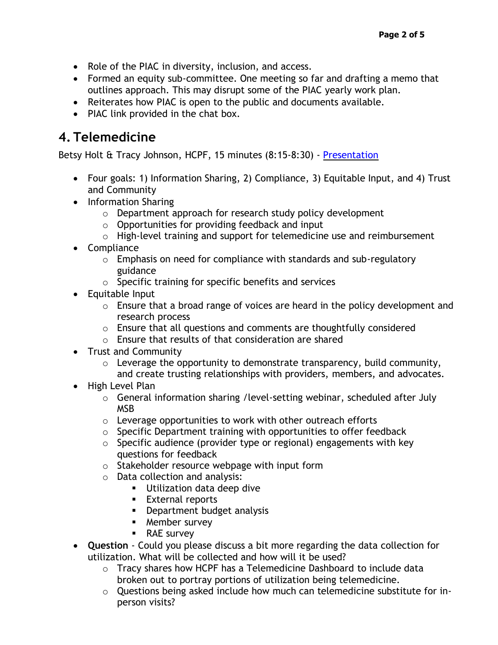- Role of the PIAC in diversity, inclusion, and access.
- Formed an equity sub-committee. One meeting so far and drafting a memo that outlines approach. This may disrupt some of the PIAC yearly work plan.
- Reiterates how PIAC is open to the public and documents available.
- PIAC link provided in the chat box.

### **4. Telemedicine**

Betsy Holt & Tracy Johnson, HCPF, 15 minutes (8:15-8:30) - [Presentation](https://www.colorado.gov/pacific/sites/default/files/Provider%20and%20Community%20Experience%20PIAC%20Subcommittee%20%20Telemedicine%20Stakeholder%20Engagement%20PowerPoint%20July%202020.pdf)

- Four goals: 1) Information Sharing, 2) Compliance, 3) Equitable Input, and 4) Trust and Community
- Information Sharing
	- o Department approach for research study policy development
	- $\circ$  Opportunities for providing feedback and input
	- o High-level training and support for telemedicine use and reimbursement
- Compliance
	- $\circ$  Emphasis on need for compliance with standards and sub-regulatory guidance
	- o Specific training for specific benefits and services
- Equitable Input
	- o Ensure that a broad range of voices are heard in the policy development and research process
	- o Ensure that all questions and comments are thoughtfully considered
	- o Ensure that results of that consideration are shared
- Trust and Community
	- $\circ$  Leverage the opportunity to demonstrate transparency, build community, and create trusting relationships with providers, members, and advocates.
- High Level Plan
	- $\circ$  General information sharing /level-setting webinar, scheduled after July MSB
	- o Leverage opportunities to work with other outreach efforts
	- o Specific Department training with opportunities to offer feedback
	- $\circ$  Specific audience (provider type or regional) engagements with key questions for feedback
	- o Stakeholder resource webpage with input form
	- o Data collection and analysis:
		- Utilization data deep dive
		- External reports
		- **•** Department budget analysis
		- Member survey
		- RAE survey
- **Question** Could you please discuss a bit more regarding the data collection for utilization. What will be collected and how will it be used?
	- $\circ$  Tracy shares how HCPF has a Telemedicine Dashboard to include data broken out to portray portions of utilization being telemedicine.
	- o Questions being asked include how much can telemedicine substitute for inperson visits?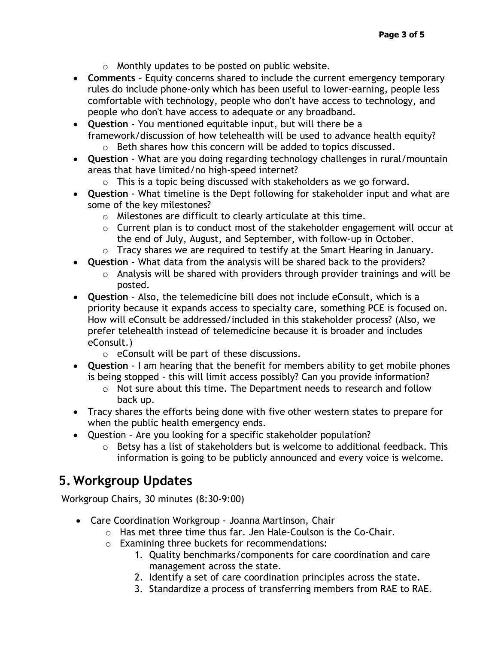- $\circ$  Monthly updates to be posted on public website.
- **Comments** Equity concerns shared to include the current emergency temporary rules do include phone-only which has been useful to lower-earning, people less comfortable with technology, people who don't have access to technology, and people who don't have access to adequate or any broadband.
- **Question**  You mentioned equitable input, but will there be a framework/discussion of how telehealth will be used to advance health equity? o Beth shares how this concern will be added to topics discussed.
- **Question**  What are you doing regarding technology challenges in rural/mountain areas that have limited/no high-speed internet?
	- $\circ$  This is a topic being discussed with stakeholders as we go forward.
- **Question**  What timeline is the Dept following for stakeholder input and what are some of the key milestones?
	- o Milestones are difficult to clearly articulate at this time.
	- $\circ$  Current plan is to conduct most of the stakeholder engagement will occur at the end of July, August, and September, with follow-up in October.
	- o Tracy shares we are required to testify at the Smart Hearing in January.
- **Question**  What data from the analysis will be shared back to the providers?
	- $\circ$  Analysis will be shared with providers through provider trainings and will be posted.
- **Question**  Also, the telemedicine bill does not include eConsult, which is a priority because it expands access to specialty care, something PCE is focused on. How will eConsult be addressed/included in this stakeholder process? (Also, we prefer telehealth instead of telemedicine because it is broader and includes eConsult.)
	- o eConsult will be part of these discussions.
- **Question**  I am hearing that the benefit for members ability to get mobile phones is being stopped - this will limit access possibly? Can you provide information?
	- o Not sure about this time. The Department needs to research and follow back up.
- Tracy shares the efforts being done with five other western states to prepare for when the public health emergency ends.
- Question Are you looking for a specific stakeholder population?
	- o Betsy has a list of stakeholders but is welcome to additional feedback. This information is going to be publicly announced and every voice is welcome.

# **5. Workgroup Updates**

Workgroup Chairs, 30 minutes (8:30-9:00)

- Care Coordination Workgroup Joanna Martinson, Chair
	- o Has met three time thus far. Jen Hale-Coulson is the Co-Chair.
	- o Examining three buckets for recommendations:
		- 1. Quality benchmarks/components for care coordination and care management across the state.
		- 2. Identify a set of care coordination principles across the state.
		- 3. Standardize a process of transferring members from RAE to RAE.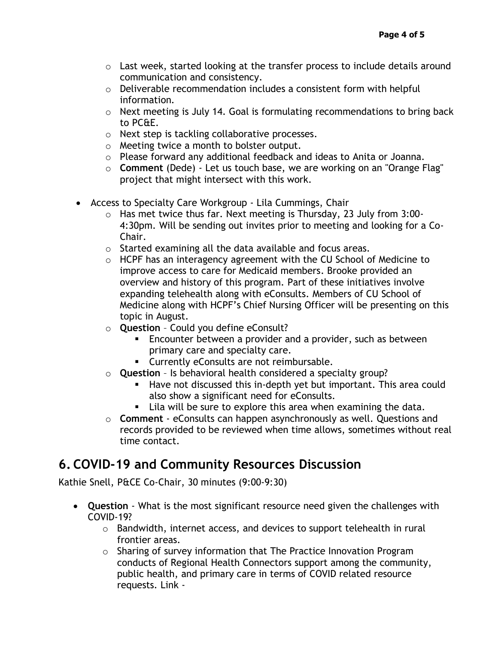- o Last week, started looking at the transfer process to include details around communication and consistency.
- o Deliverable recommendation includes a consistent form with helpful information.
- o Next meeting is July 14. Goal is formulating recommendations to bring back to PC&E.
- o Next step is tackling collaborative processes.
- o Meeting twice a month to bolster output.
- o Please forward any additional feedback and ideas to Anita or Joanna.
- o **Comment** (Dede) Let us touch base, we are working on an "Orange Flag" project that might intersect with this work.
- Access to Specialty Care Workgroup Lila Cummings, Chair
	- o Has met twice thus far. Next meeting is Thursday, 23 July from 3:00- 4:30pm. Will be sending out invites prior to meeting and looking for a Co-Chair.
	- o Started examining all the data available and focus areas.
	- o HCPF has an interagency agreement with the CU School of Medicine to improve access to care for Medicaid members. Brooke provided an overview and history of this program. Part of these initiatives involve expanding telehealth along with eConsults. Members of CU School of Medicine along with HCPF's Chief Nursing Officer will be presenting on this topic in August.
	- o **Question** Could you define eConsult?
		- Encounter between a provider and a provider, such as between primary care and specialty care.
		- Currently eConsults are not reimbursable.
	- o **Question** Is behavioral health considered a specialty group?
		- Have not discussed this in-depth yet but important. This area could also show a significant need for eConsults.
		- Lila will be sure to explore this area when examining the data.
	- o **Comment** eConsults can happen asynchronously as well. Questions and records provided to be reviewed when time allows, sometimes without real time contact.

# **6. COVID-19 and Community Resources Discussion**

Kathie Snell, P&CE Co-Chair, 30 minutes (9:00-9:30)

- **Question** What is the most significant resource need given the challenges with COVID-19?
	- o Bandwidth, internet access, and devices to support telehealth in rural frontier areas.
	- o Sharing of survey information that The Practice Innovation Program conducts of Regional Health Connectors support among the community, public health, and primary care in terms of COVID related resource requests. Link -